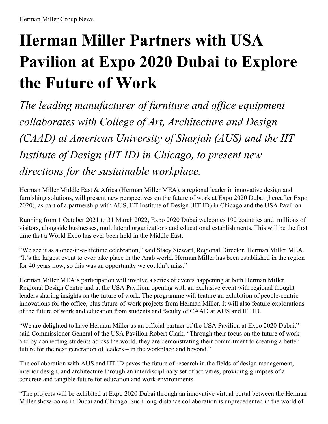# **Herman Miller Partners with USA Pavilion at Expo 2020 Dubai to Explore the Future of Work**

*The leading manufacturer of furniture and of ice equipment collaborates with College of Art, Architecture and Design (CAAD) at American University of Sharjah (AUS) and the IIT Institute of Design (IIT ID) in Chicago, to present new directions for the sustainable workplace.*

Herman Miller Middle East & Africa (Herman Miller MEA), a regional leader in innovative design and furnishing solutions, will present new perspectives on the future of work at Expo 2020 Dubai (hereafter Expo 2020), as part of a partnership with AUS, IIT Institute of Design (IIT ID) in Chicago and the USA Pavilion.

Running from 1 October 2021 to 31 March 2022, Expo 2020 Dubai welcomes 192 countries and millions of visitors, alongside businesses, multilateral organizations and educational establishments. This will be the first time that a World Expo has ever been held in the Middle East.

"We see it as a once-in-a-lifetime celebration," said Stacy Stewart, Regional Director, Herman Miller MEA. "It's the largest event to ever take place in the Arab world. Herman Miller has been established in the region for 40 years now, so this was an opportunity we couldn't miss."

Herman Miller MEA's participation will involve a series of events happening at both Herman Miller Regional Design Centre and at the USA Pavilion, opening with an exclusive event with regional thought leaders sharing insights on the future of work. The programme will feature an exhibition of people-centric innovations for the office, plus future-of-work projects from Herman Miller. It will also feature explorations of the future of work and education from students and faculty of CAAD at AUS and IIT ID.

"We are delighted to have Herman Miller as an official partner of the USA Pavilion at Expo 2020 Dubai," said Commissioner General of the USA Pavilion Robert Clark. "Through their focus on the future of work and by connecting students across the world, they are demonstrating their commitment to creating a better future for the next generation of leaders – in the workplace and beyond."

The collaboration with AUS and IIT ID paves the future of research in the fields of design management, interior design, and architecture through an interdisciplinary set of activities, providing glimpses of a concrete and tangible future for education and work environments.

"The projects will be exhibited at Expo 2020 Dubai through an innovative virtual portal between the Herman Miller showrooms in Dubai and Chicago. Such long-distance collaboration is unprecedented in the world of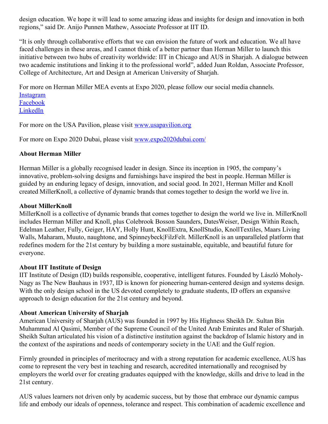design education. We hope it will lead to some amazing ideas and insights for design and innovation in both regions," said Dr. Anijo Punnen Mathew, Associate Professor at IIT ID.

"It is only through collaborative efforts that we can envision the future of work and education. We all have faced challenges in these areas, and I cannot think of a better partner than Herman Miller to launch this initiative between two hubs of creativity worldwide: IIT in Chicago and AUS in Sharjah. A dialogue between two academic institutions and linking it to the professional world", added Juan Roldan, Associate Professor, College of Architecture, Art and Design at American University of Sharjah.

For more on Herman Miller MEA events at Expo 2020, please follow our social media channels. [Instagram](https://www.instagram.com/hermanmillermea/) [Facebook](https://www.facebook.com/hermanmiller.mea) [LinkedIn](https://www.linkedin.com/showcase/herman-miller-mea)

For more on the USA Pavilion, please visit [www.usapavilion.org](http://www.usapavilion.org/)

For more on Expo 2020 Dubai, please visit [www.expo2020dubai.com/](http://www.expo2020dubai.com/)

# **About Herman Miller**

Herman Miller is a globally recognised leader in design. Since its inception in 1905, the company's innovative, problem-solving designs and furnishings have inspired the best in people. Herman Miller is guided by an enduring legacy of design, innovation, and social good. In 2021, Herman Miller and Knoll created MillerKnoll, a collective of dynamic brands that comes together to design the world we live in.

## **About MillerKnoll**

MillerKnoll is a collective of dynamic brands that comes together to design the world we live in. MillerKnoll includes Herman Miller and Knoll, plus Colebrook Bosson Saunders, DatesWeiser, Design Within Reach, Edelman Leather, Fully, Geiger, HAY, Holly Hunt, KnollExtra, KnollStudio, KnollTextiles, Maars Living Walls, Maharam, Muuto, naughtone, and Spinneybeck|FilzFelt. MillerKnoll is an unparalleled platform that redefines modern for the 21st century by building a more sustainable, equitable, and beautiful future for everyone.

#### **About IIT Institute of Design**

IIT Institute of Design (ID) builds responsible, cooperative, intelligent futures. Founded by László Moholy-Nagy as The New Bauhaus in 1937, ID is known for pioneering human-centered design and systems design. With the only design school in the US devoted completely to graduate students, ID offers an expansive approach to design education for the 21st century and beyond.

#### **About American University of Sharjah**

American University of Sharjah (AUS) was founded in 1997 by His Highness Sheikh Dr. Sultan Bin Muhammad Al Qasimi, Member of the Supreme Council of the United Arab Emirates and Ruler of Sharjah. Sheikh Sultan articulated his vision of a distinctive institution against the backdrop of Islamic history and in the context of the aspirations and needs of contemporary society in the UAE and the Gulf region.

Firmly grounded in principles of meritocracy and with a strong reputation for academic excellence, AUS has come to represent the very best in teaching and research, accredited internationally and recognised by employers the world over for creating graduates equipped with the knowledge, skills and drive to lead in the 21st century.

AUS values learners not driven only by academic success, but by those that embrace our dynamic campus life and embody our ideals of openness, tolerance and respect. This combination of academic excellence and